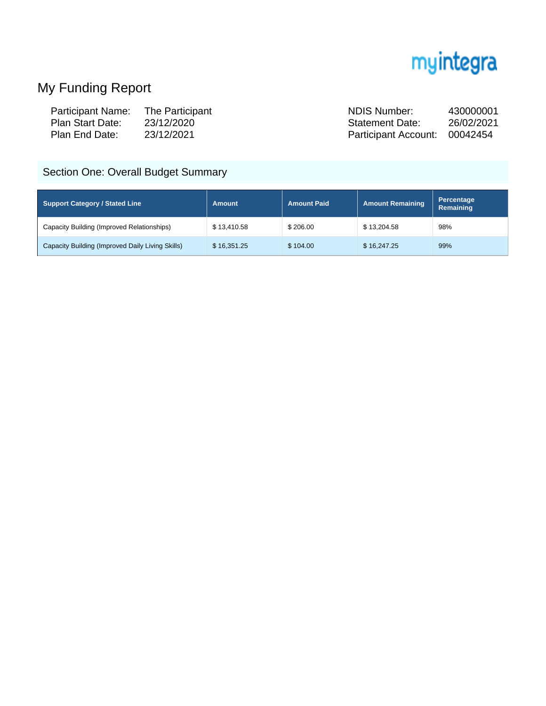

# My Funding Report

| <b>Participant Name:</b> | The Participant | NDIS Number:                  | 430000001  |
|--------------------------|-----------------|-------------------------------|------------|
| Plan Start Date:         | 23/12/2020      | <b>Statement Date:</b>        | 26/02/2021 |
| Plan End Date:           | 23/12/2021      | Participant Account: 00042454 |            |

## Section One: Overall Budget Summary

| Support Category / Stated Line                   | <b>Amount</b> | <b>Amount Paid</b> | Amount Remaining | Percentage<br>Remaining |
|--------------------------------------------------|---------------|--------------------|------------------|-------------------------|
| Capacity Building (Improved Relationships)       | \$13.410.58   | \$206.00           | \$13,204.58      | 98%                     |
| Capacity Building (Improved Daily Living Skills) | \$16,351.25   | \$104.00           | \$16,247.25      | 99%                     |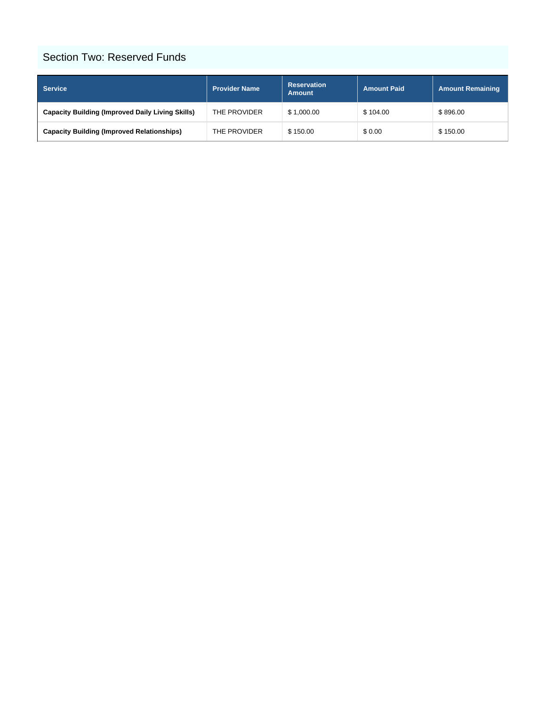#### Section Two: Reserved Funds

| <b>Service</b>                                          | <b>Provider Name</b> | <b>Reservation</b><br><b>Amount</b> | <b>Amount Paid</b> | <b>Amount Remaining</b> |
|---------------------------------------------------------|----------------------|-------------------------------------|--------------------|-------------------------|
| <b>Capacity Building (Improved Daily Living Skills)</b> | THE PROVIDER         | \$1,000.00                          | \$104.00           | \$896.00                |
| <b>Capacity Building (Improved Relationships)</b>       | THE PROVIDER         | \$150.00                            | \$0.00             | \$150.00                |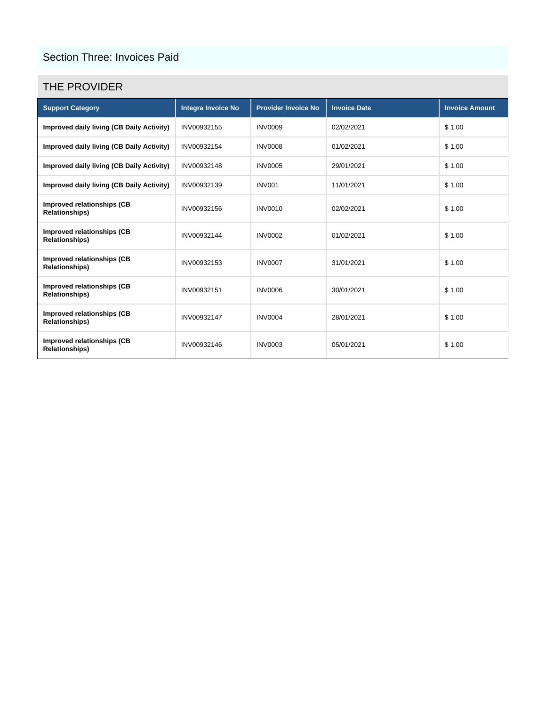#### Section Three: Invoices Paid

#### THE PROVIDER

| <b>Support Category</b>                             | Integra Invoice No | <b>Provider Invoice No</b> | <b>Invoice Date</b> | <b>Invoice Amount</b> |
|-----------------------------------------------------|--------------------|----------------------------|---------------------|-----------------------|
| Improved daily living (CB Daily Activity)           | INV00932155        | <b>INV0009</b>             | 02/02/2021          | \$1.00                |
| Improved daily living (CB Daily Activity)           | INV00932154        | <b>INV0008</b>             | 01/02/2021          | \$1.00                |
| Improved daily living (CB Daily Activity)           | INV00932148        | <b>INV0005</b>             | 29/01/2021          | \$1.00                |
| Improved daily living (CB Daily Activity)           | INV00932139        | <b>INV001</b>              | 11/01/2021          | \$1.00                |
| Improved relationships (CB<br><b>Relationships)</b> | INV00932156        | <b>INV0010</b>             | 02/02/2021          | \$1.00                |
| Improved relationships (CB<br><b>Relationships)</b> | INV00932144        | <b>INV0002</b>             | 01/02/2021          | \$1.00                |
| Improved relationships (CB<br><b>Relationships)</b> | INV00932153        | <b>INV0007</b>             | 31/01/2021          | \$1.00                |
| Improved relationships (CB<br><b>Relationships)</b> | INV00932151        | <b>INV0006</b>             | 30/01/2021          | \$1.00                |
| Improved relationships (CB<br><b>Relationships)</b> | INV00932147        | <b>INV0004</b>             | 28/01/2021          | \$1.00                |
| Improved relationships (CB<br><b>Relationships)</b> | INV00932146        | <b>INV0003</b>             | 05/01/2021          | \$1.00                |